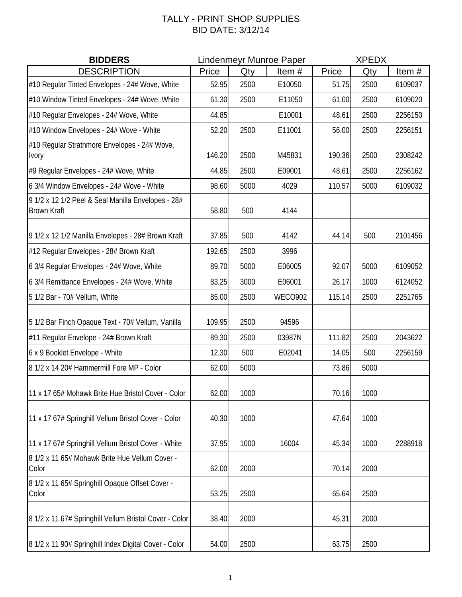## TALLY - PRINT SHOP SUPPLIES BID DATE: 3/12/14

| <b>BIDDERS</b>                                                           | <b>Lindenmeyr Munroe Paper</b> |      |                | <b>XPEDX</b> |      |         |
|--------------------------------------------------------------------------|--------------------------------|------|----------------|--------------|------|---------|
| <b>DESCRIPTION</b>                                                       | Price                          | Qty  | Item#          | Price        | Qty  | Item#   |
| #10 Regular Tinted Envelopes - 24# Wove, White                           | 52.95                          | 2500 | E10050         | 51.75        | 2500 | 6109037 |
| #10 Window Tinted Envelopes - 24# Wove, White                            | 61.30                          | 2500 | E11050         | 61.00        | 2500 | 6109020 |
| #10 Regular Envelopes - 24# Wove, White                                  | 44.85                          |      | E10001         | 48.61        | 2500 | 2256150 |
| #10 Window Envelopes - 24# Wove - White                                  | 52.20                          | 2500 | E11001         | 56.00        | 2500 | 2256151 |
| #10 Regular Strathmore Envelopes - 24# Wove,<br><b>Ivory</b>             | 146.20                         | 2500 | M45831         | 190.36       | 2500 | 2308242 |
| #9 Regular Envelopes - 24# Wove, White                                   | 44.85                          | 2500 | E09001         | 48.61        | 2500 | 2256162 |
| 6 3/4 Window Envelopes - 24# Wove - White                                | 98.60                          | 5000 | 4029           | 110.57       | 5000 | 6109032 |
| 9 1/2 x 12 1/2 Peel & Seal Manilla Envelopes - 28#<br><b>Brown Kraft</b> | 58.80                          | 500  | 4144           |              |      |         |
| 9 1/2 x 12 1/2 Manilla Envelopes - 28# Brown Kraft                       | 37.85                          | 500  | 4142           | 44.14        | 500  | 2101456 |
| #12 Regular Envelopes - 28# Brown Kraft                                  | 192.65                         | 2500 | 3996           |              |      |         |
| 6 3/4 Regular Envelopes - 24# Wove, White                                | 89.70                          | 5000 | E06005         | 92.07        | 5000 | 6109052 |
| 6 3/4 Remittance Envelopes - 24# Wove, White                             | 83.25                          | 3000 | E06001         | 26.17        | 1000 | 6124052 |
| 5 1/2 Bar - 70# Vellum, White                                            | 85.00                          | 2500 | <b>WECO902</b> | 115.14       | 2500 | 2251765 |
| 5 1/2 Bar Finch Opaque Text - 70# Vellum, Vanilla                        | 109.95                         | 2500 | 94596          |              |      |         |
| #11 Regular Envelope - 24# Brown Kraft                                   | 89.30                          | 2500 | 03987N         | 111.82       | 2500 | 2043622 |
| 6 x 9 Booklet Envelope - White                                           | 12.30                          | 500  | E02041         | 14.05        | 500  | 2256159 |
| 8 1/2 x 14 20# Hammermill Fore MP - Color                                | 62.00                          | 5000 |                | 73.86        | 5000 |         |
| 11 x 17 65# Mohawk Brite Hue Bristol Cover - Color                       | 62.00                          | 1000 |                | 70.16        | 1000 |         |
| 11 x 17 67# Springhill Vellum Bristol Cover - Color                      | 40.30                          | 1000 |                | 47.64        | 1000 |         |
| 11 x 17 67# Springhill Vellum Bristol Cover - White                      | 37.95                          | 1000 | 16004          | 45.34        | 1000 | 2288918 |
| 8 1/2 x 11 65# Mohawk Brite Hue Vellum Cover -<br>Color                  | 62.00                          | 2000 |                | 70.14        | 2000 |         |
| 8 1/2 x 11 65# Springhill Opaque Offset Cover -<br>Color                 | 53.25                          | 2500 |                | 65.64        | 2500 |         |
| 8 1/2 x 11 67# Springhill Vellum Bristol Cover - Color                   | 38.40                          | 2000 |                | 45.31        | 2000 |         |
| 8 1/2 x 11 90# Springhill Index Digital Cover - Color                    | 54.00                          | 2500 |                | 63.75        | 2500 |         |